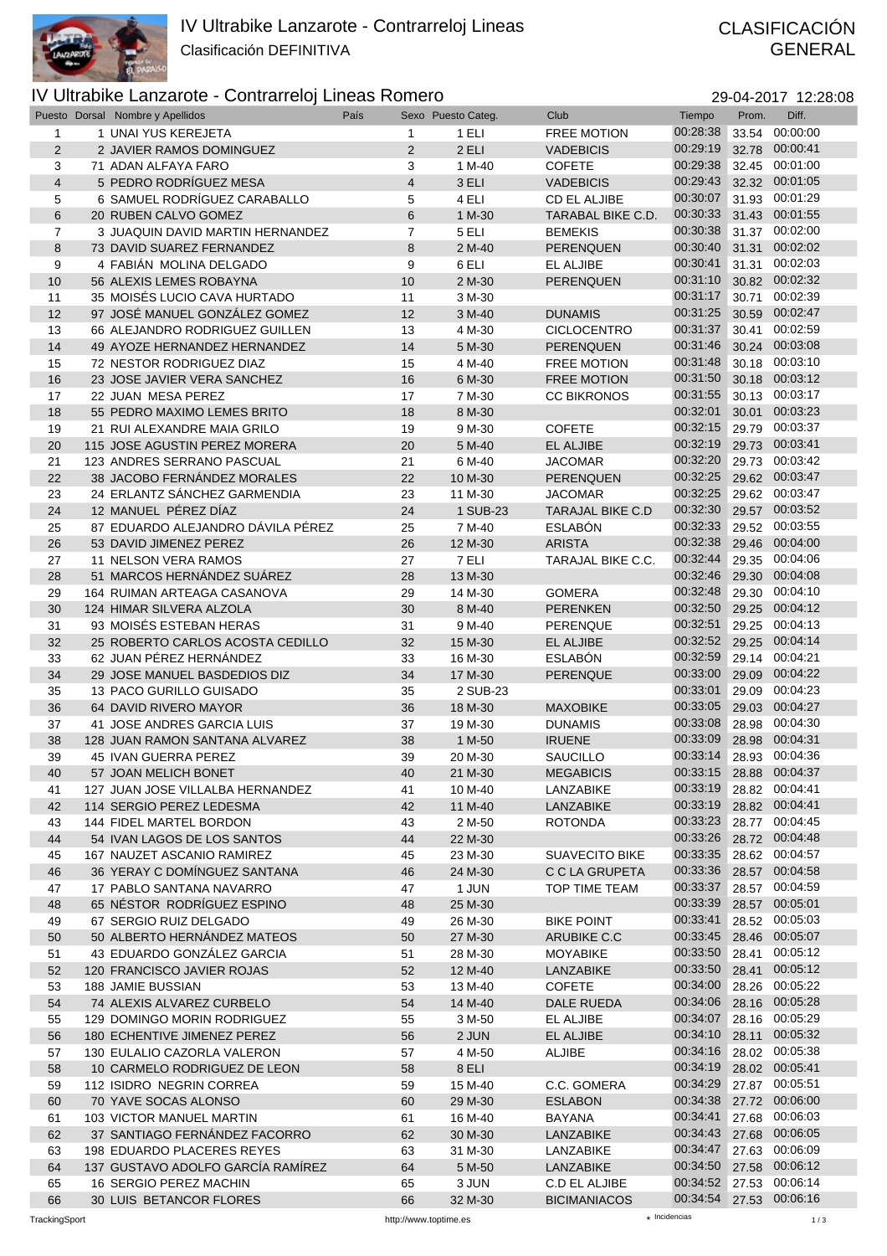

## GENERAL

## IV Ultrabike Lanzarote - Contrarreloj Lineas Romero 29-04-2017 12:28:08

|                | Puesto Dorsal Nombre y Apellidos  | País           | Sexo Puesto Categ. | Club                    | Tiempo                  | Prom. | Diff.          |
|----------------|-----------------------------------|----------------|--------------------|-------------------------|-------------------------|-------|----------------|
| 1              | 1 UNAI YUS KEREJETA               | $\mathbf{1}$   | 1 ELI              | <b>FREE MOTION</b>      | 00:28:38                |       | 33.54 00:00:00 |
| 2              | 2 JAVIER RAMOS DOMINGUEZ          | $\overline{2}$ | 2 ELI              | <b>VADEBICIS</b>        | 00:29:19                |       | 32.78 00:00:41 |
| 3              | 71 ADAN ALFAYA FARO               | 3              | 1 M-40             | <b>COFETE</b>           | 00:29:38                |       | 32.45 00:01:00 |
|                |                                   |                |                    |                         | 00:29:43                |       | 32.32 00:01:05 |
| $\overline{4}$ | 5 PEDRO RODRÍGUEZ MESA            | $\overline{4}$ | 3 ELI              | <b>VADEBICIS</b>        |                         |       |                |
| 5              | 6 SAMUEL RODRÍGUEZ CARABALLO      | 5              | 4 ELI              | <b>CD EL ALJIBE</b>     | 00:30:07                |       | 31.93 00:01:29 |
| $6\phantom{1}$ | 20 RUBEN CALVO GOMEZ              | $6\phantom{1}$ | 1 M-30             | TARABAL BIKE C.D.       | 00:30:33                |       | 31.43 00:01:55 |
| $\overline{7}$ | 3 JUAQUIN DAVID MARTIN HERNANDEZ  | $\overline{7}$ | 5 ELI              | <b>BEMEKIS</b>          | 00:30:38                |       | 31.37 00:02:00 |
| 8              | 73 DAVID SUAREZ FERNANDEZ         | 8              | 2 M-40             | PERENQUEN               | 00:30:40                |       | 31.31 00:02:02 |
|                | 4 FABIÁN MOLINA DELGADO           |                |                    |                         | 00:30:41                |       | 31.31 00:02:03 |
| 9              |                                   | 9              | 6 ELI              | EL ALJIBE               |                         |       |                |
| 10             | 56 ALEXIS LEMES ROBAYNA           | 10             | 2 M-30             | PERENQUEN               | 00:31:10                |       | 30.82 00:02:32 |
| 11             | 35 MOISÉS LUCIO CAVA HURTADO      | 11             | 3 M-30             |                         | 00:31:17                | 30.71 | 00:02:39       |
| 12             | 97 JOSÉ MANUEL GONZÁLEZ GOMEZ     | 12             | 3 M-40             | <b>DUNAMIS</b>          | 00:31:25                |       | 30.59 00:02:47 |
| 13             | 66 ALEJANDRO RODRIGUEZ GUILLEN    | 13             | 4 M-30             | <b>CICLOCENTRO</b>      | 00:31:37                |       | 30.41 00:02:59 |
| 14             | 49 AYOZE HERNANDEZ HERNANDEZ      | 14             | 5 M-30             | PERENQUEN               | 00:31:46                |       | 30.24 00:03:08 |
|                |                                   |                |                    |                         |                         |       |                |
| 15             | 72 NESTOR RODRIGUEZ DIAZ          | 15             | 4 M-40             | <b>FREE MOTION</b>      | 00:31:48                |       | 30.18 00:03:10 |
| 16             | 23 JOSE JAVIER VERA SANCHEZ       | 16             | 6 M-30             | <b>FREE MOTION</b>      | 00:31:50                |       | 30.18 00:03:12 |
| 17             | 22 JUAN MESA PEREZ                | 17             | 7 M-30             | <b>CC BIKRONOS</b>      | 00:31:55                |       | 30.13 00:03:17 |
| 18             | 55 PEDRO MAXIMO LEMES BRITO       | 18             | 8 M-30             |                         | 00:32:01                |       | 30.01 00:03:23 |
| 19             | 21 RUI ALEXANDRE MAIA GRILO       | 19             | 9 M-30             | <b>COFETE</b>           | 00:32:15                |       | 29.79 00:03:37 |
|                |                                   |                |                    |                         |                         |       |                |
| 20             | 115 JOSE AGUSTIN PEREZ MORERA     | 20             | 5 M-40             | EL ALJIBE               | 00:32:19                |       | 29.73 00:03:41 |
| 21             | 123 ANDRES SERRANO PASCUAL        | 21             | 6 M-40             | <b>JACOMAR</b>          | 00:32:20                |       | 29.73 00:03:42 |
| 22             | 38 JACOBO FERNÁNDEZ MORALES       | 22             | 10 M-30            | PERENQUEN               | 00:32:25                |       | 29.62 00:03:47 |
| 23             | 24 ERLANTZ SÁNCHEZ GARMENDIA      | 23             | 11 M-30            | <b>JACOMAR</b>          | 00:32:25                |       | 29.62 00:03:47 |
| 24             | 12 MANUEL PÉREZ DÍAZ              | 24             | 1 SUB-23           | <b>TARAJAL BIKE C.D</b> | 00:32:30                |       | 29.57 00:03:52 |
|                |                                   |                |                    |                         |                         |       |                |
| 25             | 87 EDUARDO ALEJANDRO DÁVILA PÉREZ | 25             | 7 M-40             | <b>ESLABÓN</b>          | 00:32:33                |       | 29.52 00:03:55 |
| 26             | 53 DAVID JIMENEZ PEREZ            | 26             | 12 M-30            | <b>ARISTA</b>           | 00:32:38                |       | 29.46 00:04:00 |
| 27             | 11 NELSON VERA RAMOS              | 27             | 7 ELI              | TARAJAL BIKE C.C.       | 00:32:44                |       | 29.35 00:04:06 |
| 28             | 51 MARCOS HERNÁNDEZ SUÁREZ        | 28             | 13 M-30            |                         | 00:32:46                |       | 29.30 00:04:08 |
| 29             | 164 RUIMAN ARTEAGA CASANOVA       | 29             | 14 M-30            | <b>GOMERA</b>           | 00:32:48                |       | 29.30 00:04:10 |
|                |                                   |                |                    |                         |                         |       | 29.25 00:04:12 |
| 30             | 124 HIMAR SILVERA ALZOLA          | 30             | 8 M-40             | <b>PERENKEN</b>         | 00:32:50                |       |                |
| 31             | 93 MOISES ESTEBAN HERAS           | 31             | 9 M-40             | PERENQUE                | 00:32:51                |       | 29.25 00:04:13 |
| 32             | 25 ROBERTO CARLOS ACOSTA CEDILLO  | 32             | 15 M-30            | EL ALJIBE               | 00:32:52                |       | 29.25 00:04:14 |
| 33             | 62 JUAN PÉREZ HERNÁNDEZ           | 33             | 16 M-30            | <b>ESLABÓN</b>          | 00:32:59                |       | 29.14 00:04:21 |
| 34             | 29 JOSE MANUEL BASDEDIOS DIZ      | 34             | 17 M-30            | PERENQUE                | 00:33:00                |       | 29.09 00:04:22 |
|                |                                   |                |                    |                         | 00:33:01                |       | 29.09 00:04:23 |
| 35             | 13 PACO GURILLO GUISADO           | 35             | 2 SUB-23           |                         |                         |       |                |
| 36             | 64 DAVID RIVERO MAYOR             | 36             | 18 M-30            | <b>MAXOBIKE</b>         | 00:33:05                |       | 29.03 00:04:27 |
| 37             | 41 JOSE ANDRES GARCIA LUIS        | 37             | 19 M-30            | <b>DUNAMIS</b>          | 00:33:08                | 28.98 | 00:04:30       |
| 38             | 128 JUAN RAMON SANTANA ALVAREZ    | 38             | 1 M-50             | <b>IRUENE</b>           | 00:33:09                |       | 28.98 00:04:31 |
| 39             | 45 IVAN GUERRA PEREZ              | 39             | 20 M-30            | <b>SAUCILLO</b>         | 00:33:14                |       | 28.93 00:04:36 |
| 40             | 57 JOAN MELICH BONET              | 40             | 21 M-30            | <b>MEGABICIS</b>        | 00:33:15 28.88 00:04:37 |       |                |
|                |                                   |                |                    |                         |                         |       |                |
| 41             | 127 JUAN JOSE VILLALBA HERNANDEZ  | 41             | 10 M-40            | LANZABIKE               | 00:33:19 28.82 00:04:41 |       |                |
| 42             | 114 SERGIO PEREZ LEDESMA          | 42             | 11 M-40            | LANZABIKE               | 00:33:19                |       | 28.82 00:04:41 |
| 43             | 144 FIDEL MARTEL BORDON           | 43             | 2 M-50             | <b>ROTONDA</b>          | 00:33:23                |       | 28.77 00:04:45 |
| 44             | 54 IVAN LAGOS DE LOS SANTOS       | 44             | 22 M-30            |                         | 00:33:26                |       | 28.72 00:04:48 |
| 45             | 167 NAUZET ASCANIO RAMIREZ        | 45             | 23 M-30            | <b>SUAVECITO BIKE</b>   | 00:33:35 28.62 00:04:57 |       |                |
| 46             | 36 YERAY C DOMÍNGUEZ SANTANA      | 46             | 24 M-30            | C C LA GRUPETA          | 00:33:36                |       | 28.57 00:04:58 |
|                |                                   |                |                    |                         |                         |       |                |
| 47             | 17 PABLO SANTANA NAVARRO          | 47             | 1 JUN              | TOP TIME TEAM           | 00:33:37                |       | 28.57 00:04:59 |
| 48             | 65 NÉSTOR RODRÍGUEZ ESPINO        | 48             | 25 M-30            |                         | 00:33:39                |       | 28.57 00:05:01 |
| 49             | 67 SERGIO RUIZ DELGADO            | 49             | 26 M-30            | <b>BIKE POINT</b>       | 00:33:41                |       | 28.52 00:05:03 |
| 50             | 50 ALBERTO HERNÁNDEZ MATEOS       | 50             | 27 M-30            | ARUBIKE C.C             | 00:33:45                |       | 28.46 00:05:07 |
| 51             | 43 EDUARDO GONZÁLEZ GARCIA        | 51             | 28 M-30            | <b>MOYABIKE</b>         | 00:33:50 28.41 00:05:12 |       |                |
|                |                                   |                |                    |                         | 00:33:50                |       | 28.41 00:05:12 |
| 52             | 120 FRANCISCO JAVIER ROJAS        | 52             | 12 M-40            | LANZABIKE               |                         |       |                |
| 53             | 188 JAMIE BUSSIAN                 | 53             | 13 M-40            | <b>COFETE</b>           | 00:34:00                |       | 28.26 00:05:22 |
| 54             | 74 ALEXIS ALVAREZ CURBELO         | 54             | 14 M-40            | DALE RUEDA              | 00:34:06                |       | 28.16 00:05:28 |
| 55             | 129 DOMINGO MORIN RODRIGUEZ       | 55             | 3 M-50             | EL ALJIBE               | 00:34:07                |       | 28.16 00:05:29 |
| 56             | 180 ECHENTIVE JIMENEZ PEREZ       | 56             | 2 JUN              | EL ALJIBE               | 00:34:10                |       | 28.11 00:05:32 |
|                |                                   |                |                    |                         | 00:34:16 28.02 00:05:38 |       |                |
| 57             | 130 EULALIO CAZORLA VALERON       | 57             | 4 M-50             | ALJIBE                  |                         |       |                |
| 58             | 10 CARMELO RODRIGUEZ DE LEON      | 58             | 8 ELI              |                         | 00:34:19                |       | 28.02 00:05:41 |
| 59             | 112 ISIDRO NEGRIN CORREA          | 59             | 15 M-40            | C.C. GOMERA             | 00:34:29                |       | 27.87 00:05:51 |
| 60             | 70 YAVE SOCAS ALONSO              | 60             | 29 M-30            | <b>ESLABON</b>          | 00:34:38                |       | 27.72 00:06:00 |
| 61             | 103 VICTOR MANUEL MARTIN          | 61             | 16 M-40            | BAYANA                  | 00:34:41                |       | 27.68 00:06:03 |
| 62             | 37 SANTIAGO FERNÁNDEZ FACORRO     | 62             | 30 M-30            | LANZABIKE               | 00:34:43                |       | 27.68 00:06:05 |
|                |                                   |                |                    |                         |                         |       |                |
| 63             | 198 EDUARDO PLACERES REYES        | 63             | 31 M-30            | LANZABIKE               | 00:34:47 27.63 00:06:09 |       |                |
| 64             | 137 GUSTAVO ADOLFO GARCÍA RAMÍREZ | 64             | 5 M-50             | LANZABIKE               | 00:34:50                |       | 27.58 00:06:12 |
| 65             | 16 SERGIO PEREZ MACHIN            | 65             | 3 JUN              | C.D EL ALJIBE           | 00:34:52                |       | 27.53 00:06:14 |
| 66             | 30 LUIS BETANCOR FLORES           | 66             | 32 M-30            | <b>BICIMANIACOS</b>     | 00:34:54 27.53 00:06:16 |       |                |
|                |                                   |                |                    |                         |                         |       |                |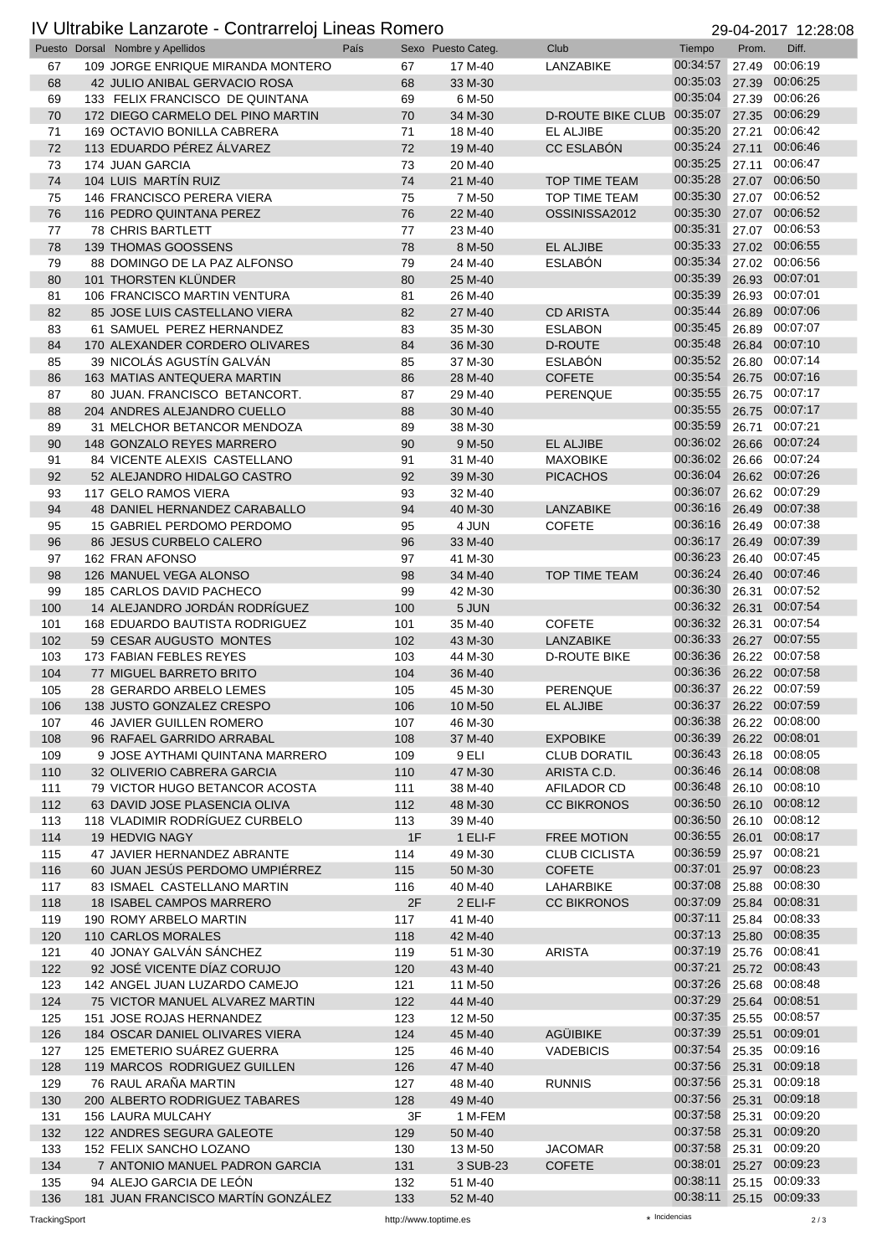## IV Ultrabike Lanzarote - Contrarreloj Lineas Romero 29-04-2017 12:28:08

|            | Puesto Dorsal Nombre y Apellidos                            | País |            | Sexo Puesto Categ. | Club                     | Tiempo                  | Prom. | Diff.                            |
|------------|-------------------------------------------------------------|------|------------|--------------------|--------------------------|-------------------------|-------|----------------------------------|
| 67         | 109 JORGE ENRIQUE MIRANDA MONTERO                           |      | 67         | 17 M-40            | <b>LANZABIKE</b>         | 00:34:57                | 27.49 | 00:06:19                         |
| 68         | 42 JULIO ANIBAL GERVACIO ROSA                               |      | 68         | 33 M-30            |                          | 00:35:03                |       | 27.39 00:06:25                   |
| 69         | 133 FELIX FRANCISCO DE QUINTANA                             |      | 69         | 6 M-50             |                          | 00:35:04                |       | 27.39 00:06:26                   |
| 70         | 172 DIEGO CARMELO DEL PINO MARTIN                           |      | 70         | 34 M-30            | <b>D-ROUTE BIKE CLUB</b> | 00:35:07                | 27.35 | 00:06:29                         |
| 71         | 169 OCTAVIO BONILLA CABRERA                                 |      | 71         | 18 M-40            | EL ALJIBE                | 00:35:20                | 27.21 | 00:06:42                         |
| 72         | 113 EDUARDO PÉREZ ÁLVAREZ                                   |      | 72         | 19 M-40            | <b>CC ESLABÓN</b>        | 00:35:24                | 27.11 | 00:06:46                         |
| 73         | 174 JUAN GARCIA                                             |      | 73         | 20 M-40            |                          | 00:35:25                | 27.11 | 00:06:47                         |
| 74         | 104 LUIS MARTÍN RUIZ                                        |      | 74         | 21 M-40            | <b>TOP TIME TEAM</b>     | 00:35:28                |       | 27.07 00:06:50                   |
| 75         | 146 FRANCISCO PERERA VIERA                                  |      | 75         | 7 M-50             | TOP TIME TEAM            | 00:35:30                |       | 27.07 00:06:52                   |
| 76         | 116 PEDRO QUINTANA PEREZ                                    |      | 76         | 22 M-40            | OSSINISSA2012            | 00:35:30                |       | 27.07 00:06:52                   |
| 77         | <b>78 CHRIS BARTLETT</b>                                    |      | 77         | 23 M-40            | <b>EL ALJIBE</b>         | 00:35:31<br>00:35:33    |       | 27.07 00:06:53<br>27.02 00:06:55 |
| 78         | 139 THOMAS GOOSSENS                                         |      | 78         | 8 M-50             |                          | 00:35:34                |       | 27.02 00:06:56                   |
| 79<br>80   | 88 DOMINGO DE LA PAZ ALFONSO<br>101 THORSTEN KLÜNDER        |      | 79<br>80   | 24 M-40<br>25 M-40 | <b>ESLABÓN</b>           | 00:35:39                |       | 26.93 00:07:01                   |
| 81         | 106 FRANCISCO MARTIN VENTURA                                |      | 81         | 26 M-40            |                          | 00:35:39                |       | 26.93 00:07:01                   |
| 82         | 85 JOSE LUIS CASTELLANO VIERA                               |      | 82         | 27 M-40            | <b>CD ARISTA</b>         | 00:35:44                | 26.89 | 00:07:06                         |
| 83         | 61 SAMUEL PEREZ HERNANDEZ                                   |      | 83         | 35 M-30            | <b>ESLABON</b>           | 00:35:45                | 26.89 | 00:07:07                         |
| 84         | 170 ALEXANDER CORDERO OLIVARES                              |      | 84         | 36 M-30            | <b>D-ROUTE</b>           | 00:35:48                | 26.84 | 00:07:10                         |
| 85         | 39 NICOLÁS AGUSTÍN GALVÁN                                   |      | 85         | 37 M-30            | <b>ESLABÓN</b>           | 00:35:52                | 26.80 | 00:07:14                         |
| 86         | 163 MATIAS ANTEQUERA MARTIN                                 |      | 86         | 28 M-40            | <b>COFETE</b>            | 00:35:54                |       | 26.75 00:07:16                   |
| 87         | 80 JUAN, FRANCISCO BETANCORT.                               |      | 87         | 29 M-40            | PERENQUE                 | 00:35:55                |       | 26.75 00:07:17                   |
| 88         | 204 ANDRES ALEJANDRO CUELLO                                 |      | 88         | 30 M-40            |                          | 00:35:55                |       | 26.75 00:07:17                   |
| 89         | 31 MELCHOR BETANCOR MENDOZA                                 |      | 89         | 38 M-30            |                          | 00:35:59                | 26.71 | 00:07:21                         |
| 90         | 148 GONZALO REYES MARRERO                                   |      | 90         | 9 M-50             | EL ALJIBE                | 00:36:02                | 26.66 | 00:07:24                         |
| 91         | 84 VICENTE ALEXIS CASTELLANO                                |      | 91         | 31 M-40            | <b>MAXOBIKE</b>          | 00:36:02                |       | 26.66 00:07:24                   |
| 92         | 52 ALEJANDRO HIDALGO CASTRO                                 |      | 92         | 39 M-30            | <b>PICACHOS</b>          | 00:36:04                |       | 26.62 00:07:26                   |
| 93         | 117 GELO RAMOS VIERA                                        |      | 93         | 32 M-40            |                          | 00:36:07                |       | 26.62 00:07:29                   |
| 94         | 48 DANIEL HERNANDEZ CARABALLO                               |      | 94         | 40 M-30            | <b>LANZABIKE</b>         | 00:36:16                |       | 26.49 00:07:38                   |
| 95         | 15 GABRIEL PERDOMO PERDOMO                                  |      | 95         | 4 JUN              | <b>COFETE</b>            | 00:36:16                | 26.49 | 00:07:38                         |
| 96         | 86 JESUS CURBELO CALERO                                     |      | 96         | 33 M-40            |                          | 00:36:17                | 26.49 | 00:07:39                         |
| 97         | 162 FRAN AFONSO                                             |      | 97         | 41 M-30            |                          | 00:36:23                |       | 26.40 00:07:45                   |
| 98         | 126 MANUEL VEGA ALONSO                                      |      | 98         | 34 M-40            | <b>TOP TIME TEAM</b>     | 00:36:24                |       | 26.40 00:07:46                   |
| 99         | 185 CARLOS DAVID PACHECO                                    |      | 99         | 42 M-30            |                          | 00:36:30                | 26.31 | 00:07:52                         |
| 100        | 14 ALEJANDRO JORDÁN RODRÍGUEZ                               |      | 100        | 5 JUN              |                          | 00:36:32                | 26.31 | 00:07:54                         |
| 101        | <b>168 EDUARDO BAUTISTA RODRIGUEZ</b>                       |      | 101        | 35 M-40            | <b>COFETE</b>            | 00:36:32<br>00:36:33    | 26.31 | 00:07:54<br>00:07:55             |
| 102        | 59 CESAR AUGUSTO MONTES                                     |      | 102        | 43 M-30            | LANZABIKE                | 00:36:36                | 26.27 | 26.22 00:07:58                   |
| 103<br>104 | 173 FABIAN FEBLES REYES<br>77 MIGUEL BARRETO BRITO          |      | 103<br>104 | 44 M-30<br>36 M-40 | D-ROUTE BIKE             | 00:36:36                |       | 26.22 00:07:58                   |
| 105        | 28 GERARDO ARBELO LEMES                                     |      | 105        | 45 M-30            | <b>PERENQUE</b>          | 00:36:37 26.22 00:07:59 |       |                                  |
| 106        | 138 JUSTO GONZALEZ CRESPO                                   |      | 106        | 10 M-50            | EL ALJIBE                | 00:36:37 26.22 00:07:59 |       |                                  |
| 107        | 46 JAVIER GUILLEN ROMERO                                    |      | 107        | 46 M-30            |                          | 00:36:38                |       | 26.22 00:08:00                   |
| 108        | 96 RAFAEL GARRIDO ARRABAL                                   |      | 108        | 37 M-40            | <b>EXPOBIKE</b>          | 00:36:39                | 26.22 | 00:08:01                         |
| 109        | 9 JOSE AYTHAMI QUINTANA MARRERO                             |      | 109        | 9 ELI              | <b>CLUB DORATIL</b>      | 00:36:43                |       | 26.18 00:08:05                   |
| 110        | 32 OLIVERIO CABRERA GARCIA                                  |      | 110        | 47 M-30            | ARISTA C.D.              | 00:36:46                |       | 26.14 00:08:08                   |
| 111        | 79 VICTOR HUGO BETANCOR ACOSTA                              |      | 111        | 38 M-40            | AFILADOR CD              | 00:36:48                |       | 26.10 00:08:10                   |
| 112        | 63 DAVID JOSE PLASENCIA OLIVA                               |      | 112        | 48 M-30            | <b>CC BIKRONOS</b>       | 00:36:50                |       | 26.10 00:08:12                   |
| 113        | 118 VLADIMIR RODRÍGUEZ CURBELO                              |      | 113        | 39 M-40            |                          | 00:36:50                |       | 26.10 00:08:12                   |
| 114        | 19 HEDVIG NAGY                                              |      | 1F         | 1 ELI-F            | <b>FREE MOTION</b>       | 00:36:55                | 26.01 | 00:08:17                         |
| 115        | 47 JAVIER HERNANDEZ ABRANTE                                 |      | 114        | 49 M-30            | <b>CLUB CICLISTA</b>     | 00:36:59                |       | 25.97 00:08:21                   |
| 116        | 60 JUAN JESÚS PERDOMO UMPIÉRREZ                             |      | 115        | 50 M-30            | <b>COFETE</b>            | 00:37:01                |       | 25.97 00:08:23                   |
| 117        | 83 ISMAEL CASTELLANO MARTIN                                 |      | 116        | 40 M-40            | LAHARBIKE                | 00:37:08                | 25.88 | 00:08:30                         |
| 118        | <b>18 ISABEL CAMPOS MARRERO</b>                             |      | 2F         | 2 ELI-F            | <b>CC BIKRONOS</b>       | 00:37:09                |       | 25.84 00:08:31                   |
| 119        | 190 ROMY ARBELO MARTIN                                      |      | 117        | 41 M-40            |                          | 00:37:11                |       | 25.84 00:08:33                   |
| 120        | 110 CARLOS MORALES                                          |      | 118        | 42 M-40            |                          | 00:37:13                | 25.80 | 00:08:35                         |
| 121        | 40 JONAY GALVÁN SÁNCHEZ                                     |      | 119        | 51 M-30            | <b>ARISTA</b>            | 00:37:19                |       | 25.76 00:08:41                   |
| 122        | 92 JOSÉ VICENTE DÍAZ CORUJO                                 |      | 120        | 43 M-40            |                          | 00:37:21                |       | 25.72 00:08:43                   |
| 123        | 142 ANGEL JUAN LUZARDO CAMEJO                               |      | 121        | 11 M-50            |                          | 00:37:26<br>00:37:29    | 25.68 | 00:08:48<br>25.64 00:08:51       |
| 124        | 75 VICTOR MANUEL ALVAREZ MARTIN                             |      | 122        | 44 M-40            |                          | 00:37:35                |       |                                  |
| 125<br>126 | 151 JOSE ROJAS HERNANDEZ<br>184 OSCAR DANIEL OLIVARES VIERA |      | 123<br>124 | 12 M-50<br>45 M-40 | <b>AGÜIBIKE</b>          | 00:37:39                | 25.51 | 25.55 00:08:57<br>00:09:01       |
| 127        | 125 EMETERIO SUÁREZ GUERRA                                  |      | 125        | 46 M-40            | <b>VADEBICIS</b>         | 00:37:54                |       | 25.35 00:09:16                   |
| 128        | 119 MARCOS RODRIGUEZ GUILLEN                                |      | 126        | 47 M-40            |                          | 00:37:56                | 25.31 | 00:09:18                         |
| 129        | 76 RAUL ARAÑA MARTIN                                        |      | 127        | 48 M-40            | <b>RUNNIS</b>            | 00:37:56                | 25.31 | 00:09:18                         |
| 130        | 200 ALBERTO RODRIGUEZ TABARES                               |      | 128        | 49 M-40            |                          | 00:37:56                | 25.31 | 00:09:18                         |
| 131        | 156 LAURA MULCAHY                                           |      | 3F         | 1 M-FEM            |                          | 00:37:58                | 25.31 | 00:09:20                         |
| 132        | 122 ANDRES SEGURA GALEOTE                                   |      | 129        | 50 M-40            |                          | 00:37:58                | 25.31 | 00:09:20                         |
| 133        | 152 FELIX SANCHO LOZANO                                     |      | 130        | 13 M-50            | <b>JACOMAR</b>           | 00:37:58                | 25.31 | 00:09:20                         |
| 134        | 7 ANTONIO MANUEL PADRON GARCIA                              |      | 131        | 3 SUB-23           | <b>COFETE</b>            | 00:38:01                |       | 25.27 00:09:23                   |
| 135        | 94 ALEJO GARCIA DE LEÓN                                     |      | 132        | 51 M-40            |                          | 00:38:11                |       | 25.15 00:09:33                   |
| 136        | 181 JUAN FRANCISCO MARTÍN GONZÁLEZ                          |      | 133        | 52 M-40            |                          | 00:38:11                |       | 25.15 00:09:33                   |

TrackingSport **http://www.toptime.es**